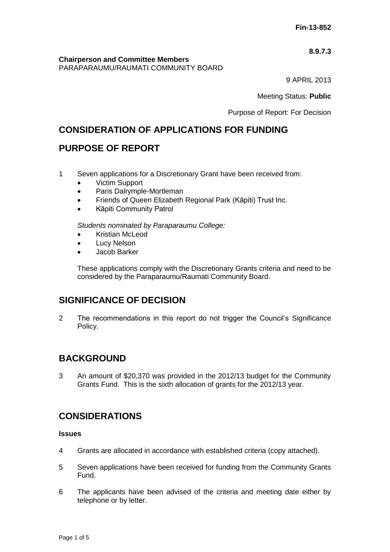### **8.9.7.3**

**Chairperson and Committee Members** PARAPARAUMU/RAUMATI COMMUNITY BOARD

9 APRIL 2013

Meeting Status: **Public**

Purpose of Report: For Decision

# **CONSIDERATION OF APPLICATIONS FOR FUNDING**

## **PURPOSE OF REPORT**

- 1 Seven applications for a Discretionary Grant have been received from:
	- Victim Support
	- Paris Dalrymple-Mortleman
	- Friends of Queen Elizabeth Regional Park (Kāpiti) Trust Inc.
	- Kāpiti Community Patrol

*Students nominated by Paraparaumu College:*

- Kristian McLeod
- Lucy Nelson
- Jacob Barker

These applications comply with the Discretionary Grants criteria and need to be considered by the Paraparaumu/Raumati Community Board.

## **SIGNIFICANCE OF DECISION**

2 The recommendations in this report do not trigger the Council's Significance Policy.

# **BACKGROUND**

3 An amount of \$20,370 was provided in the 2012/13 budget for the Community Grants Fund. This is the sixth allocation of grants for the 2012/13 year.

## **CONSIDERATIONS**

### **Issues**

- 4 Grants are allocated in accordance with established criteria (copy attached).
- 5 Seven applications have been received for funding from the Community Grants Fund.
- 6 The applicants have been advised of the criteria and meeting date either by telephone or by letter.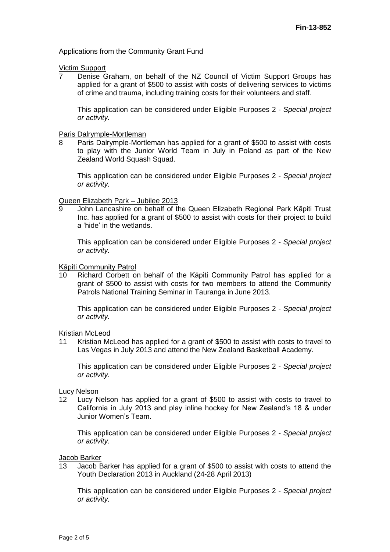#### Applications from the Community Grant Fund

# Victim Support<br>7 Denise G

7 Denise Graham, on behalf of the NZ Council of Victim Support Groups has applied for a grant of \$500 to assist with costs of delivering services to victims of crime and trauma, including training costs for their volunteers and staff.

This application can be considered under Eligible Purposes 2 - *Special project or activity.*

# **Paris Dalrymple-Mortleman**<br>8 Paris Dalrymple-Mortle

Paris Dalrymple-Mortleman has applied for a grant of \$500 to assist with costs to play with the Junior World Team in July in Poland as part of the New Zealand World Squash Squad.

This application can be considered under Eligible Purposes 2 - *Special project or activity.*

Queen Elizabeth Park – Jubilee 2013

9 John Lancashire on behalf of the Queen Elizabeth Regional Park Kāpiti Trust Inc. has applied for a grant of \$500 to assist with costs for their project to build a 'hide' in the wetlands.

This application can be considered under Eligible Purposes 2 - *Special project or activity.*

### Kāpiti Community Patrol

10 Richard Corbett on behalf of the Kāpiti Community Patrol has applied for a grant of \$500 to assist with costs for two members to attend the Community Patrols National Training Seminar in Tauranga in June 2013.

This application can be considered under Eligible Purposes 2 - *Special project or activity.*

Kristian McLeod

11 Kristian McLeod has applied for a grant of \$500 to assist with costs to travel to Las Vegas in July 2013 and attend the New Zealand Basketball Academy.

This application can be considered under Eligible Purposes 2 - *Special project or activity.*

Lucy Nelson

12 Lucy Nelson has applied for a grant of \$500 to assist with costs to travel to California in July 2013 and play inline hockey for New Zealand's 18 & under Junior Women's Team.

This application can be considered under Eligible Purposes 2 - *Special project or activity.*

Jacob Barker

13 Jacob Barker has applied for a grant of \$500 to assist with costs to attend the Youth Declaration 2013 in Auckland (24-28 April 2013)

This application can be considered under Eligible Purposes 2 - *Special project or activity.*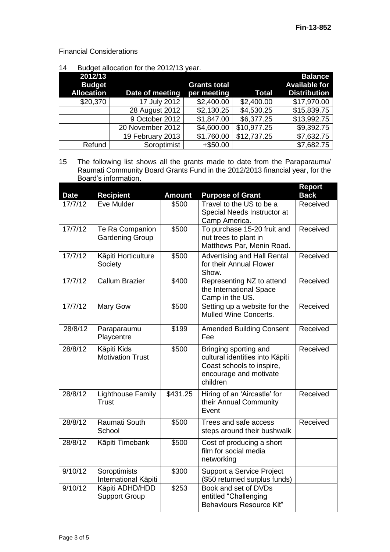Financial Considerations

14 Budget allocation for the 2012/13 year.

| 2012/13<br><b>Budget</b><br><b>Allocation</b> | Date of meeting  | <b>Grants total</b><br>per meeting | <b>Total</b> | <b>Balance</b><br><b>Available for</b><br><b>Distribution</b> |
|-----------------------------------------------|------------------|------------------------------------|--------------|---------------------------------------------------------------|
| \$20,370                                      | 17 July 2012     | \$2,400.00                         | \$2,400.00   | \$17,970.00                                                   |
|                                               | 28 August 2012   | \$2,130.25                         | \$4,530.25   | \$15,839.75                                                   |
|                                               | 9 October 2012   | \$1,847.00                         | \$6,377.25   | \$13,992.75                                                   |
|                                               | 20 November 2012 | \$4,600.00                         | \$10,977.25  | \$9,392.75                                                    |
|                                               | 19 February 2013 | \$1.760.00                         | \$12,737.25  | \$7,632.75                                                    |
| Refund                                        | Soroptimist      | $+$ \$50.00                        |              | \$7,682.75                                                    |

15 The following list shows all the grants made to date from the Paraparaumu/ Raumati Community Board Grants Fund in the 2012/2013 financial year, for the Board's information.

| <b>Date</b> | <b>Recipient</b>                          | <b>Amount</b> | <b>Purpose of Grant</b>                                                                                                     | Report<br><b>Back</b> |
|-------------|-------------------------------------------|---------------|-----------------------------------------------------------------------------------------------------------------------------|-----------------------|
| 17/7/12     | Eve Mulder                                | \$500         | Travel to the US to be a<br>Special Needs Instructor at<br>Camp America.                                                    | Received              |
| 17/7/12     | Te Ra Companion<br><b>Gardening Group</b> | \$500         | To purchase 15-20 fruit and<br>nut trees to plant in<br>Matthews Par, Menin Road.                                           | Received              |
| 17/7/12     | Kāpiti Horticulture<br>Society            | \$500         | <b>Advertising and Hall Rental</b><br>for their Annual Flower<br>Show.                                                      | Received              |
| 17/7/12     | <b>Callum Brazier</b>                     | \$400         | Representing NZ to attend<br>the International Space<br>Camp in the US.                                                     | Received              |
| 17/7/12     | Mary Gow                                  | \$500         | Setting up a website for the<br><b>Mulled Wine Concerts.</b>                                                                | Received              |
| 28/8/12     | Paraparaumu<br>Playcentre                 | \$199         | <b>Amended Building Consent</b><br>Fee                                                                                      | Received              |
| 28/8/12     | Kāpiti Kids<br><b>Motivation Trust</b>    | \$500         | Bringing sporting and<br>cultural identities into Kāpiti<br>Coast schools to inspire,<br>encourage and motivate<br>children | Received              |
| 28/8/12     | <b>Lighthouse Family</b><br>Trust         | \$431.25      | Hiring of an 'Aircastle' for<br>their Annual Community<br>Event                                                             | Received              |
| 28/8/12     | <b>Raumati South</b><br>School            | \$500         | Trees and safe access<br>steps around their bushwalk                                                                        | Received              |
| 28/8/12     | Kāpiti Timebank                           | \$500         | Cost of producing a short<br>film for social media<br>networking                                                            |                       |
| 9/10/12     | Soroptimists<br>International Kāpiti      | \$300         | Support a Service Project<br>(\$50 returned surplus funds)                                                                  |                       |
| 9/10/12     | Kāpiti ADHD/HDD<br><b>Support Group</b>   | \$253         | Book and set of DVDs<br>entitled "Challenging<br><b>Behaviours Resource Kit"</b>                                            |                       |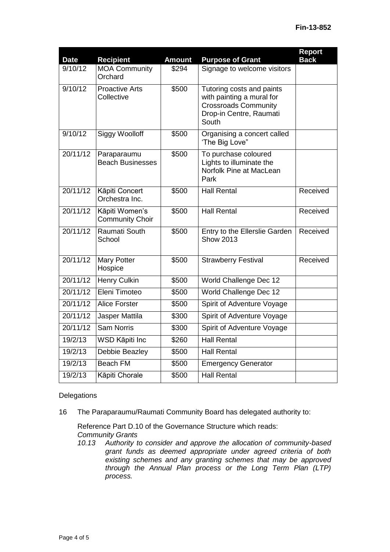| <b>Date</b> | <b>Recipient</b>                         | <b>Amount</b> | <b>Purpose of Grant</b>                                                                                                   | <b>Report</b><br><b>Back</b> |
|-------------|------------------------------------------|---------------|---------------------------------------------------------------------------------------------------------------------------|------------------------------|
| 9/10/12     | <b>MOA Community</b><br>Orchard          | \$294         | Signage to welcome visitors                                                                                               |                              |
| 9/10/12     | <b>Proactive Arts</b><br>Collective      | \$500         | Tutoring costs and paints<br>with painting a mural for<br><b>Crossroads Community</b><br>Drop-in Centre, Raumati<br>South |                              |
| 9/10/12     | Siggy Woolloff                           | \$500         | Organising a concert called<br>'The Big Love"                                                                             |                              |
| 20/11/12    | Paraparaumu<br><b>Beach Businesses</b>   | \$500         | To purchase coloured<br>Lights to illuminate the<br>Norfolk Pine at MacLean<br>Park                                       |                              |
| 20/11/12    | Kāpiti Concert<br>Orchestra Inc.         | \$500         | <b>Hall Rental</b>                                                                                                        | Received                     |
| 20/11/12    | Kāpiti Women's<br><b>Community Choir</b> | \$500         | <b>Hall Rental</b>                                                                                                        | Received                     |
| 20/11/12    | Raumati South<br>School                  | \$500         | Entry to the Ellerslie Garden<br><b>Show 2013</b>                                                                         | Received                     |
| 20/11/12    | <b>Mary Potter</b><br>Hospice            | \$500         | <b>Strawberry Festival</b>                                                                                                | Received                     |
| 20/11/12    | Henry Culkin                             | \$500         | World Challenge Dec 12                                                                                                    |                              |
| 20/11/12    | Eleni Timoteo                            | \$500         | World Challenge Dec 12                                                                                                    |                              |
| 20/11/12    | <b>Alice Forster</b>                     | \$500         | Spirit of Adventure Voyage                                                                                                |                              |
| 20/11/12    | Jasper Mattila                           | \$300         | Spirit of Adventure Voyage                                                                                                |                              |
| 20/11/12    | <b>Sam Norris</b>                        | \$300         | Spirit of Adventure Voyage                                                                                                |                              |
| 19/2/13     | WSD Kāpiti Inc                           | \$260         | <b>Hall Rental</b>                                                                                                        |                              |
| 19/2/13     | Debbie Beazley                           | \$500         | <b>Hall Rental</b>                                                                                                        |                              |
| 19/2/13     | <b>Beach FM</b>                          | \$500         | <b>Emergency Generator</b>                                                                                                |                              |
| 19/2/13     | Kāpiti Chorale                           | \$500         | <b>Hall Rental</b>                                                                                                        |                              |

### **Delegations**

16 The Paraparaumu/Raumati Community Board has delegated authority to:

Reference Part D.10 of the Governance Structure which reads: *Community Grants*

*10.13 Authority to consider and approve the allocation of community-based grant funds as deemed appropriate under agreed criteria of both existing schemes and any granting schemes that may be approved through the Annual Plan process or the Long Term Plan (LTP) process.*